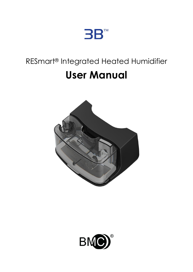

# RESmart® Integrated Heated Humidifier **User Manual**



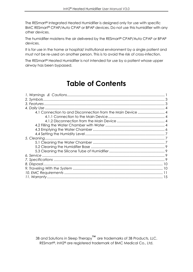The RESmart® Integrated Heated Humidifier is designed only for use with specific BMC RESmart® CPAP/Auto CPAP or BPAP devices. Do not use this humidifier with any other devices.

The humidifier moistens the air delivered by the RESmart® CPAP/Auto CPAP or BPAP devices.

It is for use in the home or hospital/ institutional environment by a single patient and must not be re-used on another person. This is to avoid the risk of cross-infection.

The RESmart® Heated Humidifier is not intended for use by a patient whose upper airway has been bypassed.

## **Table of Contents**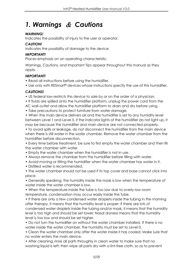## <span id="page-2-0"></span>*1. Warnings* & *Cautions*

#### *WARNING!*

Indicates the possibility of injury to the user or operator.

#### *CAUTION!*

Indicates the possibility of damage to the device.

#### *IMPORTANT!*

Places emphasis on an operating characteristic.

Warnings, Cautions, and Important Tips appear throughout this manual as they apply.

#### *IMPORTANT!*

- Read all instructions before using the humidifier.
- Use only with RESmart<sup>®</sup> devices whose instructions specify the use of this humidifier.

#### *CAUTIONS!*

- US federal law restricts this device to sale by or on the order of a physician.
- If fluids are spilled onto the humidifier platform, unplug the power cord from the AC wall outlet and allow the humidifier platform to drain and dry before using.
- Take precautions to protect furniture from water damage.

• When the main device delivers air and the humidifier is set to any humidity level between Level 1 and Level 5, if the indicator lights of the humidifier do not light up, it may be because the humidifier and main device are not connected properly.

• To avoid spills or leakage, do not disconnect the humidifier from the main device when there is still water in the water chamber. Remove the water chamber from the humidifier before disconnection.

• Every time before treatment, be sure to first empty the water chamber and then fill the water chamber with water.

- Empty the water chamber when the humidifier is not in use.
- Always remove the chamber from the humidifier before filling with water.
- Avoid moving or tilting the humidifier when the water chamber has water in it.
- Distilled water is recommended.

• The water chamber should not be used if its top cover and base cannot click into place.

• Generally speaking, the humidity inside the mask is low when the temperature of water inside the water chamber is low.

• When the temperature inside the tube is too low due to overly low room temperature, condensation may occur easily inside the tube.

• If there are only a few condensed water droplets inside the tubing in the morning after therapy, it means that the humidity level is proper; if there are lots of condensed water droplets inside the tubing and/or mask, it means that the humidity level is too high and should be set lower; Nasal dryness means that the humidity level is too low and should be set higher.

• Do not turn the humidifier on without the water chamber installed. If there is no water inside the water chamber, the humidity must be set to Level 0.

• Clean the water chamber only after the water inside it has cooled. Make sure that no water enters the main device.

• After cleaning, rinse all parts throughly in clean water to make sure that no washing liquid is left; then wipe all parts dry with a lint-free cloth, so as to prevent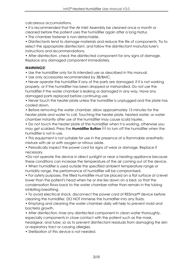calcareous accumulations.

• It is recommended that the Air Inlet Assembly be cleaned once a month or cleaned before the patient uses the humidifier again after a long hiatus

• The chamber fastener is non-detachable.

• Disinfectants tend to damage materials and reduce the life of components. Try to select the appropriate disinfectant, and follow the disinfectant manufacturer's instructions and recommendations.

• After disinfection, check the disinfected component for any signs of damage. Replace any damaged component immediately.

#### *WARNINGS!*

• Use the humidifier only for its intended use as described in this manual.

• Use only accessories recommended by 3B/BMC.

• Never operate the humidifier if any of the parts are damaged, if it is not working properly, or if the humidifier has been dropped or mishandled. Do not use the humidifier if the water chamber is leaking or damaged in any way. Have any damaged parts replaced before continuing use.

• Never touch the heater plate unless the humidifier is unplugged and the plate has cooled down.

• Before removing the water chamber, allow approximately 15 minutes for the heater plate and water to coll. Touching the heater plate, heated water, or water chamber instantly after use of the humidifier may cause scald injuries.

• Do not touch the heater plate of the humidifier when it is working, otherwise you may get scalded. Press the **Humidifier Button** to turn off the humidifier when the humidifier is not in use.

• This equipment is not suitable for use in the presence of a flammable anesthetic mixture with air or with oxygen or nitrous oxide.

• Periodically inspect the power cord for signs of wear or damage. Replace if necessary.

•Do not operate the device in direct sunlight or near a heating appliance because these conditions can increase the temperature of the air coming out of the device.

• When humidifier is used outside the specified ambient temperature range or humidity range, the performance of humidifier will be compromised.

• For safety purposes, the filled humidifier must be placed on a flat surface at a level lower than the patient's head when he or she lies down on a bed, so that the condensation flows back to the water chamber rather than remain in the tubing inhibiting breathing.

• To avoid electrical shock, disconnect the power cord of RESmart® device before cleaning the humidifier. DO NOT immerse the humidifier into any fluids.

• Emptying and cleaning the water chamber daily will help to prevent mold and bacteria growth.

• After disinfection, rinse any disinfected component in clean water thoroughly, especially components in close contact with the patient such as the mask, headgear, and tube, so as to prevent disinfectant residuals from damaging the skin or respiratory tract or causing allergies.

• Sterilization of this device is not needed.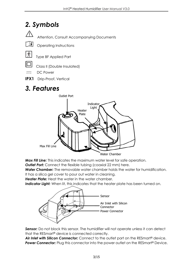## <span id="page-4-0"></span>*2. Symbols*



Attention, Consult Accompanying Documents



Operating Instructions





Class II (Double Insulated)

 $\equiv$  DC Power

**IPX1** Drip-Proof, Vertical

### <span id="page-4-1"></span>*3. Features*



*Max Fill Line:* This indicates the maximum water level for safe operation.

**Outlet Port:** Connect the flexible tubing (coaxial 22 mm) here.

*Water Chamber:* The removable water chamber holds the water for humidification. It has a silica gel cover to pour out water in cleaning.

*Heater Plate:* Heat the water in the water chamber.

**Indicator Light:** When lit, this indicates that the heater plate has been turned on.



**Sensor:** Do not block this sensor. The humidifier will not operate unless it can detect that the RESmart® device is connected correctly.

*Air Inlet with Silicon Connector:* Connect to the outlet port on the RESmart® device. **Power Connector:** Plug this connector into the power outlet on the RESmart<sup>®</sup> Device.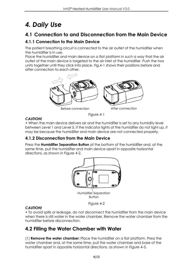## <span id="page-5-0"></span>*4. Daily Use*

### <span id="page-5-1"></span>**4.1 Connection to and Disconnection from the Main Device**

### <span id="page-5-2"></span>**4.1.1 Connection to the Main Device**

The patient breathing circuit is connected to the air outlet of the humidifier when the humidifier is in use.

Place the humidifier and main device on a flat platform in such a way that the air outlet of the main device is targeted to the air inlet of the humidifier. Push the two units together until they click into place. Fig.4-1 shows their positions before and after connection to each other.



Figure 4-1

#### *CAUTION!*

• When the main device delivers air and the humidifier is set to any humidity level between Level 1 and Level 5, if the indicator lights of the humidifier do not light up, it may be because the humidifier and main device are not connected properly.

#### <span id="page-5-3"></span>**4.1.2 Disconnection from the Main Device**

Press the **Humidifier Separation Button** at the bottom of the humidifier and, at the same time, pull the humidifier and main device apart in opposite horizontal directions, as shown in Figure 4-2.



### Figure 4-2

#### *CAUTION!*

• To avoid spills or leakage, do not disconnect the humidifier from the main device when there is still water in the water chamber. Remove the water chamber from the humidifier before disconnection.

### <span id="page-5-4"></span>**4.2 Filling the Water Chamber with Water**

(1) **Remove the water chamber:** Place the humidifier on a flat platform. Press the water chamber and, at the same time, pull the water chamber and base of the humidifier apart in opposite horizontal directions, as shown in Figure 4-3.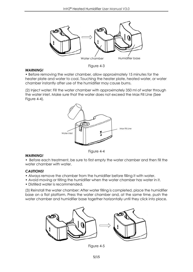

Figure 4-3

#### *WARNING!*

• Before removing the water chamber, allow approximately 15 minutes for the heater plate and water to cool. Touching the heater plate, heated water, or water chamber instantly after use of the humidifier may cause burns.

(2) Inject water: Fill the water chamber with approximately 350 ml of water through the water inlet. Make sure that the water does not exceed the Max Fill Line (See Figure 4-4).



#### *WARNING!*

Figure 4-4

• Before each treatment, be sure to first empty the water chamber and then fill the water chamber with water.

#### *CAUTIONS!*

- Always remove the chamber from the humidifier before filling it with water.
- Avoid moving or tilting the humidifier when the water chamber has water in it.
- Distilled water is recommended.

(3) Reinstall the water chamber: After water filling is completed, place the humidifier base on a flat platform. Press the water chamber and, at the same time, push the water chamber and humidifier base together horizontally until they click into place.



Figure 4-5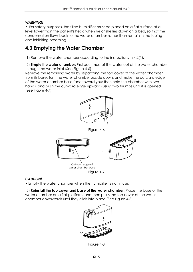#### *WARNING!*

• For safety purposes, the filled humidifier must be placed on a flat surface at a level lower than the patient's head when he or she lies down on a bed, so that the condensation flows back to the water chamber rather than remain in the tubing and inhibiting breathing.

### <span id="page-7-0"></span>**4.3 Emptying the Water Chamber**

(1) Remove the water chamber according to the instructions in 4.2(1).

(2) **Empty the water chamber:** First pour most of the water out of the water chamber through the water inlet (See Figure 4-6).

Remove the remaining water by separating the top cover of the water chamber from its base. Turn the water chamber upside down, and make the outward edge of the water chamber base face toward you; then hold the chamber with two hands, and push the outward edge upwards using two thumbs until it is opened (See Figure 4-7).



Figure 4-6



Figure 4-7

#### *CAUTION!*

• Empty the water chamber when the humidifier is not in use.

(3) **Reinstall the top cover and base of the water chamber:** Place the base of the water chamber on a flat platform, and then press the top cover of the water chamber downwards until they click into place (See Figure 4-8).



Figure 4-8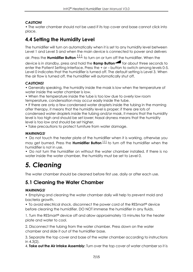#### *CAUTION!*

• The water chamber should not be used if its top cover and base cannot click into place.

### <span id="page-8-0"></span>**4.4 Setting the Humidity Level**

The humidifier will turn on automatically when it is set to any humidity level between Level 1 and Level 5 and when the main device is connected to power and delivers

air. Press the **Humidifier Button** to turn on or turn off the humidifier. When the

device is in standby, press and hold the **Ramp Button** for about three seconds to enter the Patient Setting Interface. Press the + or – button to switch among levels 0-5. Level 0 indicates that the humidifier is turned off. The default setting is Level 3. When the air flow is turned off, the humidifier will automatically shut off.

#### *CAUTIONS!*

• Generally speaking, the humidity inside the mask is low when the temperature of water inside the water chamber is low.

• When the temperature inside the tube is too low due to overly low room temperature, condensation may occur easily inside the tube.

• If there are only a few condensed water droplets inside the tubing in the morning after therapy, it means that the humidity level is proper; if there are lots of condensed water droplets inside the tubing and/or mask, it means that the humidity level is too high and should be set lower; Nasal dryness means that the humidity level is too low and should be set higher.

• Take precautions to protect furniture from water damage.

#### *WARNINGS!*

• Do not touch the heater plate of the humidifier when it is working, otherwise you may get burned. Press the **Humidifier Button**  $\mathcal{W}$  to turn off the humidifier when the humidifier is not in use.

• Do not turn the humidifier on without the water chamber installed. If there is no water inside the water chamber, the humidity must be set to Level 0.

## <span id="page-8-1"></span>*5. Cleaning*

The water chamber should be cleaned before first use, daily or after each use.

### <span id="page-8-2"></span>**5.1 Cleaning the Water Chamber**

#### *WARNINGS!*

• Emptying and cleaning the water chamber daily will help to prevent mold and bacteria growth.

• To avoid electrical shock, disconnect the power cord of the RESmart® device before cleaning the humidifier. DO NOT immerse the humidifier in any fluids.

1. Turn the RESmart® device off and allow approximately 15 minutes for the heater plate and water to cool.

2. Disconnect the tubing from the water chamber. Press down on the water chamber and slide it out of the humidifier base.

3. Separate the top cover and base of the water chamber according to instructions in 4.3(2).

4. **Take out the Air Intake Assembly:** Turn over the top cover of water chamber so it is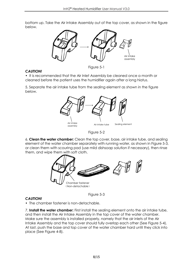bottom up. Take the Air Intake Assembly out of the top cover, as shown in the figure below.



#### *CAUTION!*

Figure 5-1

• It is recommended that the Air Inlet Assembly be cleaned once a month or cleaned before the patient uses the humidifier again after a long hiatus.

5. Separate the air intake tube from the sealing element as shown in the figure below.



Figure 5-2

6. **Clean the water chamber:** Clean the top cover, base, air intake tube, and sealing element of the water chamber separately with running water, as shown in Figure 5-3, or clean them with scouring pad (use mild dishsoap solution if necessary), then rinse them, and wipe them with soft cloth.



#### *CAUTION!*

Figure 5-3

• The chamber fastener is non-detachable.

7. **Install the water chamber:** First install the sealing element onto the air intake tube, and then install the Air Intake Assembly in the top cover of the water chamber. Make sure the assembly is installed properly, namely that the air inlets of the Air Intake Assembly and the top cover should fully overlap each other (See Figure 5-4). At last, push the base and top cover of the water chamber hard until they click into place (See Figure 4-8).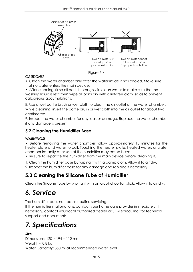

Figure 5-4

#### *CAUTIONS!*

• Clean the water chamber only after the water inside it has cooled. Make sure that no water enters the main device.

• After cleaning, rinse all parts thoroughly in clean water to make sure that no washing liquid is left; then wipe all parts dry with a lint-free cloth, so as to prevent calcareous accumulations.

8. Use a wet bottle brush or wet cloth to clean the air outlet of the water chamber. While cleaning, insert the bottle brush or wet cloth into the air outlet for about two centimeters.

9. Inspect the water chamber for any leak or damage. Replace the water chamber if any damage is present.

#### <span id="page-10-0"></span>**5.2 Cleaning the Humidifier Base**

#### *WARNINGS!*

• Before removing the water chamber, allow approximately 15 minutes for the heater plate and water to coll. Touching the heater plate, heated water, or water chamber instantly after use of the humidifier may cause burns.

• Be sure to separate the humidifier from the main device before cleaning it.

1. Clean the humidifier base by wiping it with a damp cloth. Allow it to air dry.

2. Inspect the humidifier base for any damage and replace if necessary.

### <span id="page-10-1"></span>**5.3 Cleaning the Silicone Tube of Humidifier**

Clean the Silicone Tube by wiping it with an alcohol cotton stick. Allow it to air dry.

### <span id="page-10-2"></span>*6. Service*

The humidifier does not require routine servicing.

If the humidifier malfunctions, contact your home care provider immediately. If necessary, contact your local authorized dealer or 3B Medical, Inc. for technical support and documents.

## <span id="page-10-3"></span>*7. Specifications*

#### *Size*

Dimensions: 120 × 194 × 112 mm Weight: < 0.8 kg Water Capacity: 350 ml at recommended water level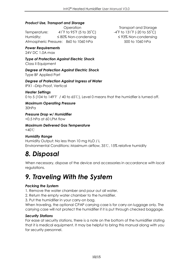#### *Product Use, Transport and Storage*

Temperature:  $41\degree$ F to 95 $\degree$ F (5 to 35 $\degree$ C)  $-4\degree$ F to 131 $\degree$ F (-20 to 55 $\degree$ C) Humidity: ≤ 80% Non-condensing ≤ 93% Non-condensing Atmospheric Pressure: 860 to 1060 hPa 500 to 1060 hPa

*Power Requirements*

24V DC 1.0A max

*Type of Protection Against Electric Shock* Class II Equipment

*Degree of Protection Against Electric Shock* Type BF Applied Part

*Degree of Protection Against Ingress of Water* IPX1 –Drip-Proof, Vertical

*Heater Settings* 0 to 5 (104 to 149℉ / 40 to 65℃), Level 0 means that the humidfier is turned off.

*Maximum Operating Pressure* 30hPa

*Pressure Drop w/ Humidifier* <0.5 hPa at 60 LPM flow

*Maximum Delivered Gas Temperature* <40℃

#### *Humidity Range*

Humidity Output: No less than 10 mg H<sub>2</sub>O / L Environmental Conditions: Maximum airflow, 35℃, 15% relative humidity

### <span id="page-11-0"></span>*8. Disposal*

When necessary, dispose of the device and accessories in accordance with local regulations.

### <span id="page-11-1"></span>*9. Traveling With the System*

#### *Packing the System*

1. Remove the water chamber and pour out all water.

2. Return the empty water chamber to the humidifier.

3. Put the humidifier in your carry-on bag.

When traveling, the optional CPAP carrying case is for carry-on luggage only. The carrying case will not protect the humidifier if it is put through checked baggage.

#### *Security Stations*

For ease at security stations, there is a note on the bottom of the humidifier stating that it is medical equipment. It may be helpful to bring this manual along with you for security personnel.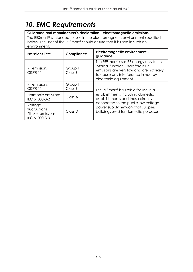## <span id="page-12-0"></span>*10. EMC Requirements*

#### **Guidance and manufacturer's declaration - electromagnetic emissions**

The RESmart® is intended for use in the electromagnetic environment specified below. The user of the RESmart® should ensure that it is used in such an environment.

| <b>Emissions Test</b>                                          | Compliance          | Electromagnetic environment -<br>guidance                                                                                                                                                                                                           |  |
|----------------------------------------------------------------|---------------------|-----------------------------------------------------------------------------------------------------------------------------------------------------------------------------------------------------------------------------------------------------|--|
| RF emissions<br>CISPR 11                                       | Group 1,<br>Class B | The RESmart <sup>®</sup> uses RF energy only for its<br>internal function. Therefore its RF<br>emissions are very low and are not likely<br>to cause any interference in nearby<br>electronic equipment.                                            |  |
| RF emissions<br>CISPR 11                                       | Group 1,<br>Class B | The RESmart <sup>®</sup> is suitable for use in all<br>establishments including domestic<br>establishments and those directly<br>connected to the public low-voltage<br>power supply network that supplies<br>buildings used for domestic purposes. |  |
| Harmonic emissions<br>IEC 61000-3-2                            | Class A             |                                                                                                                                                                                                                                                     |  |
| Voltage<br>fluctuations<br>/flicker emissions<br>IEC 61000-3-3 | Class D             |                                                                                                                                                                                                                                                     |  |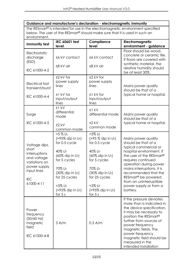| Guidance and manufacturer's declaration - electromagnetic immunity                                                                                           |                                                                                                                                                                                                                    |                                                                                                                                                                                                                   |                                                                                                                                                                                                                                                                                                                                       |  |  |  |  |
|--------------------------------------------------------------------------------------------------------------------------------------------------------------|--------------------------------------------------------------------------------------------------------------------------------------------------------------------------------------------------------------------|-------------------------------------------------------------------------------------------------------------------------------------------------------------------------------------------------------------------|---------------------------------------------------------------------------------------------------------------------------------------------------------------------------------------------------------------------------------------------------------------------------------------------------------------------------------------|--|--|--|--|
| The RESmart® is intended for use in the electromagnetic environment specified<br>below. The user of the RESmart® should make sure that it is used in such an |                                                                                                                                                                                                                    |                                                                                                                                                                                                                   |                                                                                                                                                                                                                                                                                                                                       |  |  |  |  |
| environment.                                                                                                                                                 |                                                                                                                                                                                                                    |                                                                                                                                                                                                                   |                                                                                                                                                                                                                                                                                                                                       |  |  |  |  |
| Immunity test                                                                                                                                                | IEC 60601 test<br>level                                                                                                                                                                                            | Compliance<br>level                                                                                                                                                                                               | Electromagnetic<br>environment - guidance                                                                                                                                                                                                                                                                                             |  |  |  |  |
| Electrostatic<br>discharge<br>(ESD)<br>IEC 61000-4-2                                                                                                         | ±6 kV contact<br>±8 kV air                                                                                                                                                                                         | ±6 kV contact<br>±8 kV air                                                                                                                                                                                        | Floor should be wood,<br>concrete or ceramic tile.<br>If floors are covered with<br>synthetic material, the<br>relative humidity should<br>be at least 30%.                                                                                                                                                                           |  |  |  |  |
| Electrical fast<br>transient/burst<br>IEC 61000-4-4                                                                                                          | $±2$ kV for<br>power supply<br>lines<br>±1 kV for<br>input/output<br>lines                                                                                                                                         | ±2 kV for<br>power supply<br>lines<br>±1 kV for<br>input/output<br>lines                                                                                                                                          | Mains power quality<br>should be that of a<br>typical home or hospital.                                                                                                                                                                                                                                                               |  |  |  |  |
| Surge<br>IEC 61000-4-5                                                                                                                                       | $±1$ kV<br>differential<br>mode<br>$±2$ kV<br>common mode                                                                                                                                                          | $±1$ kV<br>differential mode<br>$±2$ kV<br>common mode                                                                                                                                                            | Mains power quality<br>should be that of a<br>typical home or hospital.                                                                                                                                                                                                                                                               |  |  |  |  |
| Voltage dips,<br>short<br>interruptions<br>and voltage<br>variations on<br>power supply<br>input lines<br>IEC<br>61000-4-11                                  | $< 5 \% U_T$<br>$(>95\%$ dip in $U_T$ )<br>for 0.5 cycle<br>40% UT<br>(60% dip in $U_T$ )<br>for 5 cycles<br>70% UT<br>(30% dip in $U_T$ )<br>for 25 cycles<br>$<$ 5% U $<$<br>$(>95\%$ dip in $U_T$ )<br>for $5s$ | $<$ 5% U $<$<br>$( > 95 %$ dip in $U_T$ )<br>for 0.5 cycle<br>40% UT<br>(60% dip in $U_T$ )<br>for 5 cycles<br>70% UT<br>(30% dip in $U_T$ )<br>for 25 cycles<br>$<$ 5% UT<br>$(>95\%$ dip in $U_T$ )<br>for $5s$ | Mains power quality<br>should be that of a<br>typical commercial or<br>hospital environment. If<br>the user of the RESmart®<br>requires continued<br>operation during power<br>mains interruptions, it is<br>recommended that the<br>RESmart <sup>®</sup> be powered<br>from an uninterruptible<br>power supply or from a<br>battery. |  |  |  |  |
| Power<br>frequency<br>(50/60 Hz)<br>magnetic<br>field<br>IEC 61000-4-8                                                                                       | 3 A/m                                                                                                                                                                                                              | $0.3$ A/m                                                                                                                                                                                                         | If the pressure deviates<br>more than is indicated in<br>the device specification,<br>it may be necessary to<br>position the RESmart <sup>®</sup><br>further from sources of<br>power frequency<br>magnetic fields. The<br>power frequency<br>magnetic field should be<br>measured in the<br>intended installation                    |  |  |  |  |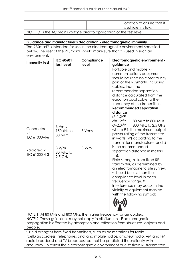| NOTE: U <sub>T</sub> is the AC mains voltage prior to application of the test level. |                                                                     |                     | location to ensure that it<br>is sufficiently low.                                                                                                                                                                                                                                                                                                                                                                                                                                                                                                                                                                                                                                                                                                                                                                                                                                                                                                                                                               |
|--------------------------------------------------------------------------------------|---------------------------------------------------------------------|---------------------|------------------------------------------------------------------------------------------------------------------------------------------------------------------------------------------------------------------------------------------------------------------------------------------------------------------------------------------------------------------------------------------------------------------------------------------------------------------------------------------------------------------------------------------------------------------------------------------------------------------------------------------------------------------------------------------------------------------------------------------------------------------------------------------------------------------------------------------------------------------------------------------------------------------------------------------------------------------------------------------------------------------|
|                                                                                      |                                                                     |                     |                                                                                                                                                                                                                                                                                                                                                                                                                                                                                                                                                                                                                                                                                                                                                                                                                                                                                                                                                                                                                  |
|                                                                                      |                                                                     |                     |                                                                                                                                                                                                                                                                                                                                                                                                                                                                                                                                                                                                                                                                                                                                                                                                                                                                                                                                                                                                                  |
|                                                                                      |                                                                     |                     |                                                                                                                                                                                                                                                                                                                                                                                                                                                                                                                                                                                                                                                                                                                                                                                                                                                                                                                                                                                                                  |
|                                                                                      |                                                                     |                     | Guidance and manufacturer's declaration - electromagnetic immunity                                                                                                                                                                                                                                                                                                                                                                                                                                                                                                                                                                                                                                                                                                                                                                                                                                                                                                                                               |
|                                                                                      |                                                                     |                     | The RESmart <sup>®</sup> is intended for use in the electromagnetic environment specified                                                                                                                                                                                                                                                                                                                                                                                                                                                                                                                                                                                                                                                                                                                                                                                                                                                                                                                        |
|                                                                                      |                                                                     |                     | below. The user of the RESmart® should make sure that it is used in such an                                                                                                                                                                                                                                                                                                                                                                                                                                                                                                                                                                                                                                                                                                                                                                                                                                                                                                                                      |
| environment.                                                                         |                                                                     |                     |                                                                                                                                                                                                                                                                                                                                                                                                                                                                                                                                                                                                                                                                                                                                                                                                                                                                                                                                                                                                                  |
| Immunity test                                                                        | <b>IEC 60601</b><br>test level                                      | Compliance<br>level | Electromagnetic environment -<br>guidance                                                                                                                                                                                                                                                                                                                                                                                                                                                                                                                                                                                                                                                                                                                                                                                                                                                                                                                                                                        |
| Conducted<br><b>RF</b><br>IEC 61000-4-6<br>Radiated RF<br>IEC 61000-4-3              | 3 Vrms<br>$150$ kHz to<br>80 MHz<br>3 V/m<br>80 MHz to<br>$2.5$ GHz | 3 Vrms<br>3 V/m     | Portable and mobile RF<br>communications equipment<br>should be used no closer to any<br>part of the RESmart <sup>®</sup> , including<br>cables, than the<br>recommended separation<br>distance calculated from the<br>equation applicable to the<br>frequency of the transmitter.<br><b>Recommended separation</b><br>distance<br>$d=1.2\sqrt{P}$<br>$d=1.2\sqrt{P}$<br>80 MHz to 800 MHz<br>$d=2.3\sqrt{P}$<br>800 MHz to 2.5 GHz<br>where P is the maximum output<br>power rating of the transmitter<br>in watts (W) according to the<br>transmitter manufacturer and d<br>is the recommended<br>separation distance in meters<br>$(m)$ .<br>Field strengths from fixed RF<br>transmitter, as determined by<br>an electromagnetic site survey,<br><sup>a</sup> should be less than the<br>compliance level in each<br>frequency range. b<br>Interference may occur in the<br>vicinity of equipment marked<br>with the following symbol:<br>NOTE 1: At 80 MHz and 800 MHz, the higher frequency range applied. |

propagation is affected by absorption and reflection from structures, objects and people. <sup>a</sup> Field strengths from fixed transmitters, such as base stations for radio (cellular/cordless) telephones and land mobile radios, amateur radio, AM and FM

radio broadcast and TV broadcast cannot be predicted theoretically with accuracy. To assess the electromagnetic environment due to fixed RF transmitters,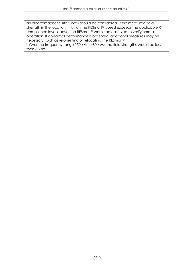an electromagnetic site survey should be considered. If the measured field strength in the location in which the RESmart® is used exceeds the applicable RF compliance level above, the RESmart® should be observed to verify normal operation. If abnormal performance is observed, additional measures may be necessary, such as re-orienting or relocating the RESmart®.

<sup>b</sup> Over the frequency range 150 kHz to 80 MHz, the field strengths should be less than 3 V/m.